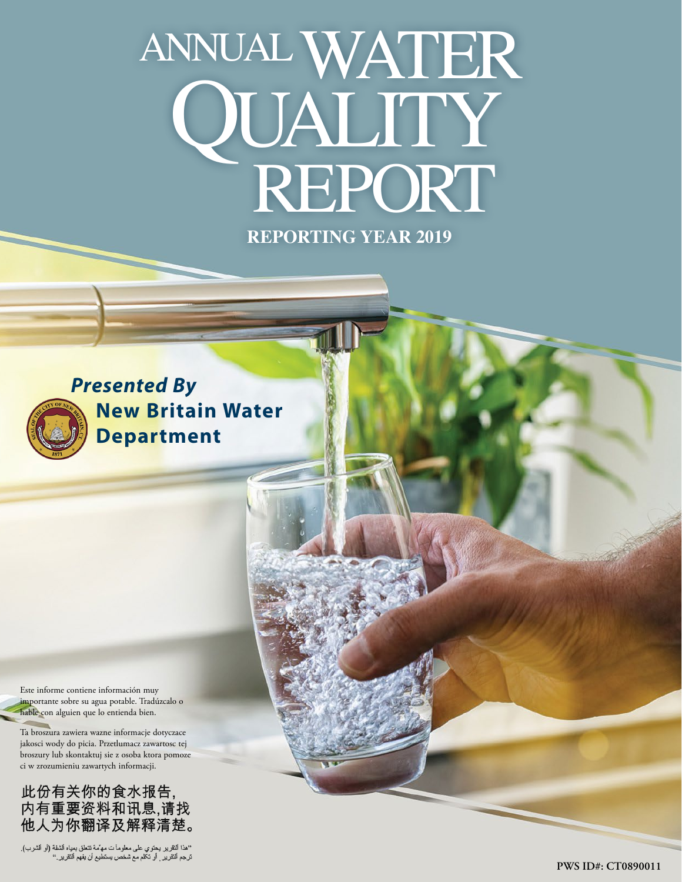# ANNUAL WATER QUALITY<br>REPORT

**REPORTING YEAR 2019**



*Presented By* **New Britain Water Department**

Este informe contiene información muy importante sobre su agua potable. Tradúzcalo o hable con alguien que lo entienda bien.

Ta broszura zawiera wazne informacje dotyczace jakosci wody do picia. Przetlumacz zawartosc tej broszury lub skontaktuj sie z osoba ktora pomoze ci w zrozumieniu zawartych informacji.

此份有关你的食水报告,<br>内有重要资料和讯息,请找 他人为你翻译及解释清楚。

''هذا النقرير يحتوي على معلوماً ت مه<sup>ن</sup>مة تتعلق بمداه الشفة (أو الشرب).<br>ترجم النقرير <sub>,</sub> أو تكلم مع شخص يستطيع أن يفهم النقرير .''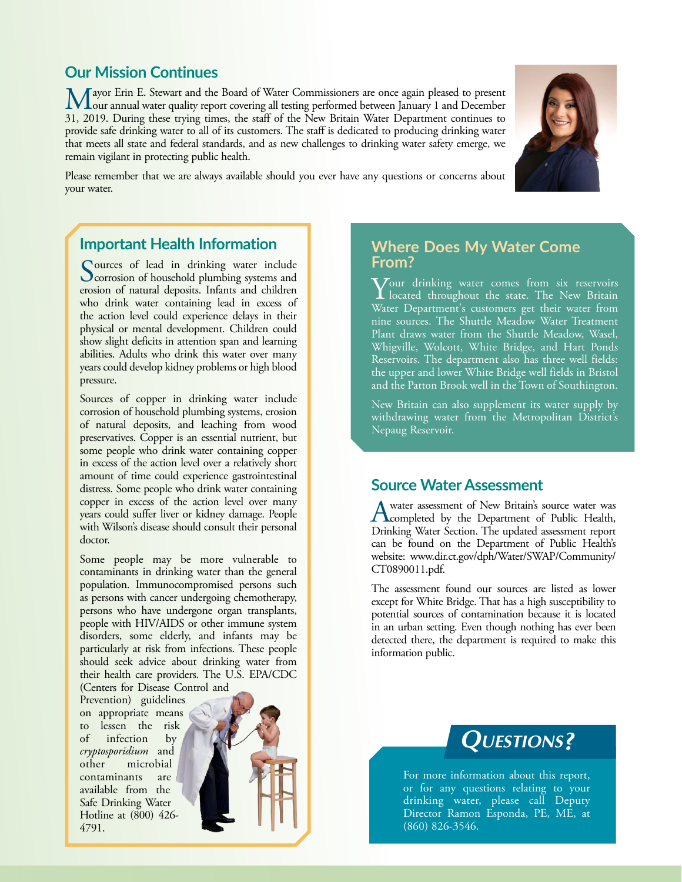## **Our Mission Continues**

Mayor Erin E. Stewart and the Board of Water Commissioners are once again pleased to present our annual water quality report covering all testing performed between January 1 and December 21, 2010. December the particular w 31, 2019. During these trying times, the staff of the New Britain Water Department continues to provide safe drinking water to all of its customers. The staff is dedicated to producing drinking water that meets all state and federal standards, and as new challenges to drinking water safety emerge, we remain vigilant in protecting public health.

Please remember that we are always available should you ever have any questions or concerns about your water.

# **Important Health Information**

Sources of lead in drinking water include<br>Corrosion of household plumbing systems and erosion of natural deposits. Infants and children who drink water containing lead in excess of the action level could experience delays in their physical or mental development. Children could show slight deficits in attention span and learning abilities. Adults who drink this water over many years could develop kidney problems or high blood pressure.

Sources of copper in drinking water include corrosion of household plumbing systems, erosion of natural deposits, and leaching from wood preservatives. Copper is an essential nutrient, but some people who drink water containing copper in excess of the action level over a relatively short amount of time could experience gastrointestinal distress. Some people who drink water containing copper in excess of the action level over many years could suffer liver or kidney damage. People with Wilson's disease should consult their personal doctor.

Some people may be more vulnerable to contaminants in drinking water than the general population. Immunocompromised persons such as persons with cancer undergoing chemotherapy, persons who have undergone organ transplants, people with HIV/AIDS or other immune system disorders, some elderly, and infants may be particularly at risk from infections. These people should seek advice about drinking water from their health care providers. The U.S. EPA/CDC (Centers for Disease Control and

Prevention) guidelines on appropriate means to lessen the risk infection by *cryptosporidium* and other microbial contaminants are available from the Safe Drinking Water Hotline at (800) 426- 4791.



## **Where Does My Water Come From?**

Your drinking water comes from six reservoirs located throughout the state. The New Britain Water Department's customers get their water from nine sources. The Shuttle Meadow Water Treatment Plant draws water from the Shuttle Meadow, Wasel, Whigville, Wolcott, White Bridge, and Hart Ponds Reservoirs. The department also has three well fields: the upper and lower White Bridge well fields in Bristol and the Patton Brook well in the Town of Southington.

New Britain can also supplement its water supply by withdrawing water from the Metropolitan District's Nepaug Reservoir.

### **Source Water Assessment**

A water assessment of New Britain's source water was<br>
completed by the Department of Public Health, Drinking Water Section. The updated assessment report can be found on the Department of Public Health's website: [www.dir.ct.gov/dph/Water/SWAP/Community/](http://www.dir.ct.gov/dph/Water/SWAP/Community/CT0890011.pdf) [CT0890011.pdf](http://www.dir.ct.gov/dph/Water/SWAP/Community/CT0890011.pdf).

The assessment found our sources are listed as lower except for White Bridge. That has a high susceptibility to potential sources of contamination because it is located in an urban setting. Even though nothing has ever been detected there, the department is required to make this information public.





For more information about this report, or for any questions relating to your drinking water, please call Deputy Director Ramon Esponda, PE, ME, at (860) 826-3546.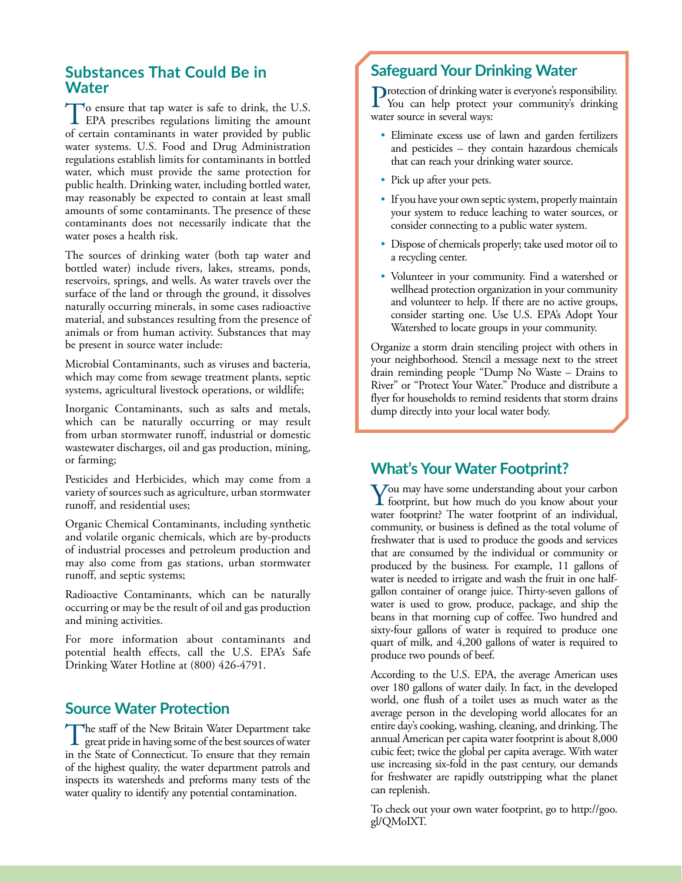## **Substances That Could Be in Water**

To ensure that tap water is safe to drink, the U.S.<br>EPA prescribes regulations limiting the amount of certain contaminants in water provided by public water systems. U.S. Food and Drug Administration regulations establish limits for contaminants in bottled water, which must provide the same protection for public health. Drinking water, including bottled water, may reasonably be expected to contain at least small amounts of some contaminants. The presence of these contaminants does not necessarily indicate that the water poses a health risk.

The sources of drinking water (both tap water and bottled water) include rivers, lakes, streams, ponds, reservoirs, springs, and wells. As water travels over the surface of the land or through the ground, it dissolves naturally occurring minerals, in some cases radioactive material, and substances resulting from the presence of animals or from human activity. Substances that may be present in source water include:

Microbial Contaminants, such as viruses and bacteria, which may come from sewage treatment plants, septic systems, agricultural livestock operations, or wildlife;

Inorganic Contaminants, such as salts and metals, which can be naturally occurring or may result from urban stormwater runoff, industrial or domestic wastewater discharges, oil and gas production, mining, or farming;

Pesticides and Herbicides, which may come from a variety of sources such as agriculture, urban stormwater runoff, and residential uses;

Organic Chemical Contaminants, including synthetic and volatile organic chemicals, which are by-products of industrial processes and petroleum production and may also come from gas stations, urban stormwater runoff, and septic systems;

Radioactive Contaminants, which can be naturally occurring or may be the result of oil and gas production and mining activities.

For more information about contaminants and potential health effects, call the U.S. EPA's Safe Drinking Water Hotline at (800) 426-4791.

## **Source Water Protection**

The staff of the New Britain Water Department take great pride in having some of the best sources of water in the State of Connecticut. To ensure that they remain of the highest quality, the water department patrols and inspects its watersheds and preforms many tests of the water quality to identify any potential contamination.

# **Safeguard Your Drinking Water**

Protection of drinking water is everyone's responsibility.<br>You can help protect your community's drinking water source in several ways:

- Eliminate excess use of lawn and garden fertilizers and pesticides – they contain hazardous chemicals that can reach your drinking water source.
- Pick up after your pets.
- If you have your own septic system, properly maintain your system to reduce leaching to water sources, or consider connecting to a public water system.
- Dispose of chemicals properly; take used motor oil to a recycling center.
- Volunteer in your community. Find a watershed or wellhead protection organization in your community and volunteer to help. If there are no active groups, consider starting one. Use U.S. EPA's Adopt Your Watershed to locate groups in your community.

Organize a storm drain stenciling project with others in your neighborhood. Stencil a message next to the street drain reminding people "Dump No Waste – Drains to River" or "Protect Your Water." Produce and distribute a flyer for households to remind residents that storm drains dump directly into your local water body.

## **What's Your Water Footprint?**

You may have some understanding about your carbon<br>footprint, but how much do you know about your water footprint? The water footprint of an individual, community, or business is defined as the total volume of freshwater that is used to produce the goods and services that are consumed by the individual or community or produced by the business. For example, 11 gallons of water is needed to irrigate and wash the fruit in one halfgallon container of orange juice. Thirty-seven gallons of water is used to grow, produce, package, and ship the beans in that morning cup of coffee. Two hundred and sixty-four gallons of water is required to produce one quart of milk, and 4,200 gallons of water is required to produce two pounds of beef.

According to the U.S. EPA, the average American uses over 180 gallons of water daily. In fact, in the developed world, one flush of a toilet uses as much water as the average person in the developing world allocates for an entire day's cooking, washing, cleaning, and drinking. The annual American per capita water footprint is about 8,000 cubic feet; twice the global per capita average. With water use increasing six-fold in the past century, our demands for freshwater are rapidly outstripping what the planet can replenish.

To check out your own water footprint, go to [http://goo.](http://goo.gl/QMoIXT) [gl/QMoIXT.](http://goo.gl/QMoIXT)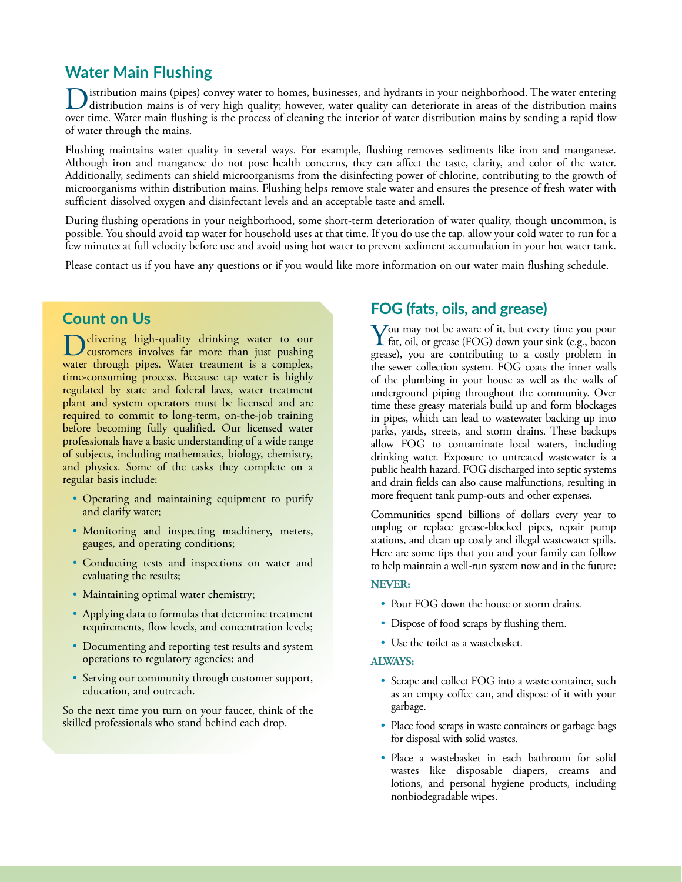## **Water Main Flushing**

istribution mains (pipes) convey water to homes, businesses, and hydrants in your neighborhood. The water entering distribution mains is of very high quality; however, water quality can deteriorate in areas of the distribution mains over time. Water main flushing is the process of cleaning the interior of water distribution mains by sending a rapid flow of water through the mains.

Flushing maintains water quality in several ways. For example, flushing removes sediments like iron and manganese. Although iron and manganese do not pose health concerns, they can affect the taste, clarity, and color of the water. Additionally, sediments can shield microorganisms from the disinfecting power of chlorine, contributing to the growth of microorganisms within distribution mains. Flushing helps remove stale water and ensures the presence of fresh water with sufficient dissolved oxygen and disinfectant levels and an acceptable taste and smell.

During flushing operations in your neighborhood, some short-term deterioration of water quality, though uncommon, is possible. You should avoid tap water for household uses at that time. If you do use the tap, allow your cold water to run for a few minutes at full velocity before use and avoid using hot water to prevent sediment accumulation in your hot water tank.

Please contact us if you have any questions or if you would like more information on our water main flushing schedule.

## **Count on Us**

elivering high-quality drinking water to our customers involves far more than just pushing water through pipes. Water treatment is a complex, time-consuming process. Because tap water is highly regulated by state and federal laws, water treatment plant and system operators must be licensed and are required to commit to long-term, on-the-job training before becoming fully qualified. Our licensed water professionals have a basic understanding of a wide range of subjects, including mathematics, biology, chemistry, and physics. Some of the tasks they complete on a regular basis include:

- Operating and maintaining equipment to purify and clarify water;
- Monitoring and inspecting machinery, meters, gauges, and operating conditions;
- Conducting tests and inspections on water and evaluating the results;
- Maintaining optimal water chemistry;
- Applying data to formulas that determine treatment requirements, flow levels, and concentration levels;
- Documenting and reporting test results and system operations to regulatory agencies; and
- Serving our community through customer support, education, and outreach.

So the next time you turn on your faucet, think of the skilled professionals who stand behind each drop.

## **FOG (fats, oils, and grease)**

You may not be aware of it, but every time you pour<br>fat, oil, or grease (FOG) down your sink (e.g., bacon grease), you are contributing to a costly problem in the sewer collection system. FOG coats the inner walls of the plumbing in your house as well as the walls of underground piping throughout the community. Over time these greasy materials build up and form blockages in pipes, which can lead to wastewater backing up into parks, yards, streets, and storm drains. These backups allow FOG to contaminate local waters, including drinking water. Exposure to untreated wastewater is a public health hazard. FOG discharged into septic systems and drain fields can also cause malfunctions, resulting in more frequent tank pump-outs and other expenses.

Communities spend billions of dollars every year to unplug or replace grease-blocked pipes, repair pump stations, and clean up costly and illegal wastewater spills. Here are some tips that you and your family can follow to help maintain a well-run system now and in the future:

#### **NEVER:**

- Pour FOG down the house or storm drains.
- Dispose of food scraps by flushing them.
- Use the toilet as a wastebasket.

#### **ALWAYS:**

- Scrape and collect FOG into a waste container, such as an empty coffee can, and dispose of it with your garbage.
- Place food scraps in waste containers or garbage bags for disposal with solid wastes.
- Place a wastebasket in each bathroom for solid wastes like disposable diapers, creams and lotions, and personal hygiene products, including nonbiodegradable wipes.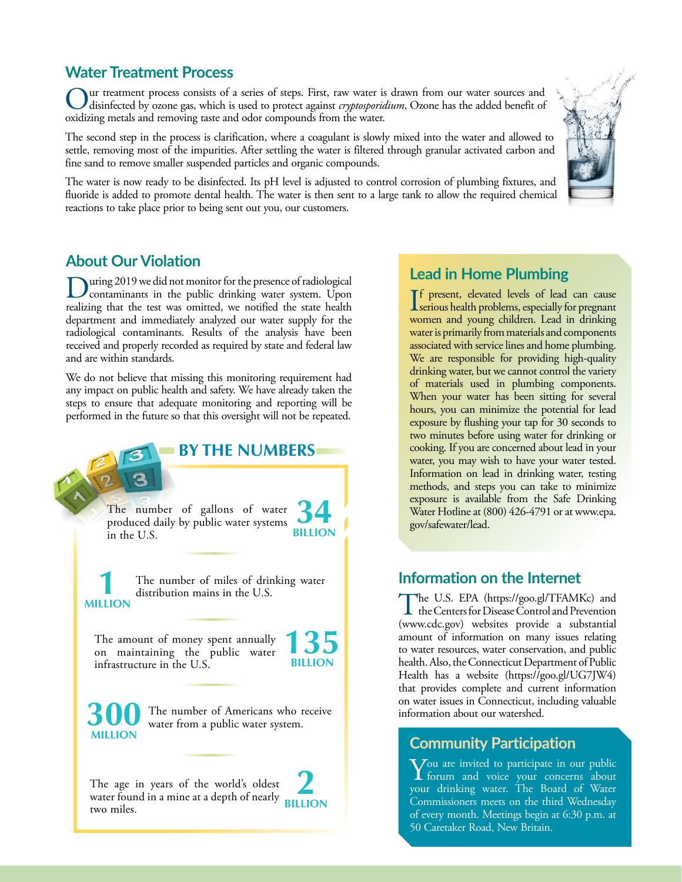## **Water Treatment Process**

Our treatment process consists of a series of steps. First, raw water is drawn from our water sources and disinfected by ozone gas, which is used to protect against *cryptosporidium*, Ozone has the added benefit of evily i oxidizing metals and removing taste and odor compounds from the water.

The second step in the process is clarification, where a coagulant is slowly mixed into the water and allowed to settle, removing most of the impurities. After settling the water is filtered through granular activated carbon and fine sand to remove smaller suspended particles and organic compounds.

The water is now ready to be disinfected. Its pH level is adjusted to control corrosion of plumbing fixtures, and fluoride is added to promote dental health. The water is then sent to a large tank to allow the required chemical reactions to take place prior to being sent out you, our customers.



## **About Our Violation**

During 2019 we did not monitor for the presence of radiological<br>contaminants in the public drinking water system. Upon realizing that the test was omitted, we notified the state health department and immediately analyzed our water supply for the radiological contaminants. Results of the analysis have been received and properly recorded as required by state and federal law and are within standards.

We do not believe that missing this monitoring requirement had any impact on public health and safety. We have already taken the steps to ensure that adequate monitoring and reporting will be performed in the future so that this oversight will not be repeated.



## **Lead in Home Plumbing**

If present, elevated levels of lead can cause<br>serious health problems, especially for pregnant f present, elevated levels of lead can cause women and young children. Lead in drinking water is primarily from materials and components associated with service lines and home plumbing. We are responsible for providing high-quality drinking water, but we cannot control the variety of materials used in plumbing components. When your water has been sitting for several hours, you can minimize the potential for lead exposure by flushing your tap for 30 seconds to two minutes before using water for drinking or cooking. If you are concerned about lead in your water, you may wish to have your water tested. Information on lead in drinking water, testing methods, and steps you can take to minimize exposure is available from the Safe Drinking Water Hotline at (800) 426-4791 or at [www.epa.](http://www.epa.gov/safewater/lead) [gov/safewater/lead](http://www.epa.gov/safewater/lead).

## **Information on the Internet**

The U.S. EPA [\(https://goo.gl/TFAMKc\)](https://goo.gl/TFAMKc) and<br>the Centers for Disease Control and Prevention [\(www.cdc.gov](http://www.cdc.gov)) websites provide a substantial amount of information on many issues relating to water resources, water conservation, and public health. Also, the Connecticut Department of Public Health has a website (<https://goo.gl/UG7JW4>) that provides complete and current information on water issues in Connecticut, including valuable information about our watershed.

# **Community Participation**

 $\sum$  forum and voice your concerns about your drinking water. The Board of Water Commissioners meets on the third Wednesday of every month. Meetings begin at 6:30 p.m. at 50 Caretaker Road, New Britain.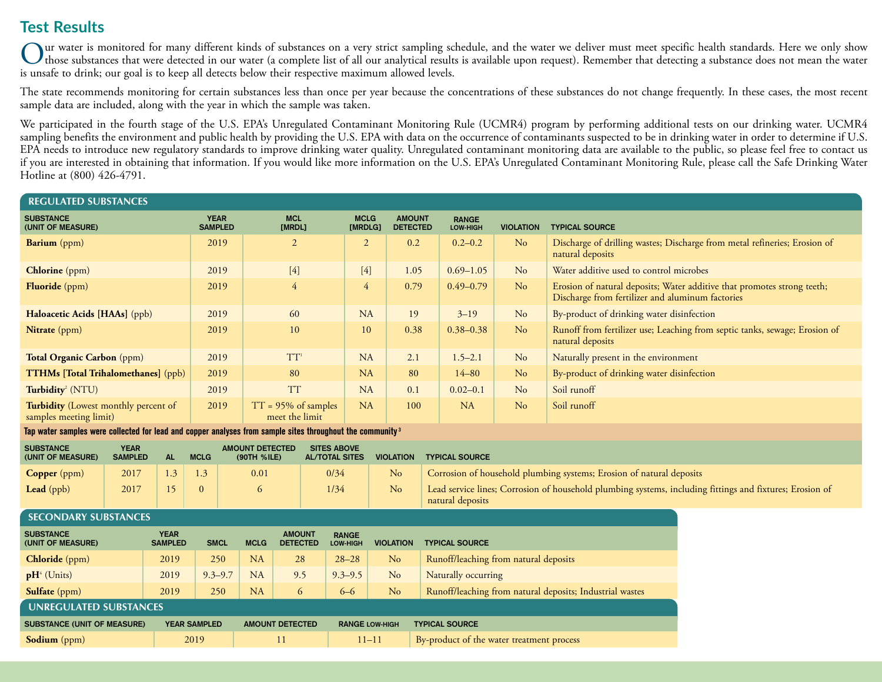# **Test Results**

Our water is monitored for many different kinds of substances on a very strict sampling schedule, and the water we deliver must meet specific health standards. Here we only show<br>those substances that were detected in our w is unsafe to drink; our goal is to keep all detects below their respective maximum allowed levels.

The state recommends monitoring for certain substances less than once per year because the concentrations of these substances do not change frequently. In these cases, the most recent sample data are included, along with the year in which the sample was taken.

We participated in the fourth stage of the U.S. EPA's Unregulated Contaminant Monitoring Rule (UCMR4) program by performing additional tests on our drinking water. UCMR4 sampling benefits the environment and public health by providing the U.S. EPA with data on the occurrence of contaminants suspected to be in drinking water in order to determine if U.S. EPA needs to introduce new regulatory standards to improve drinking water quality. Unregulated contaminant monitoring data are available to the public, so please feel free to contact us if you are interested in obtaining that information. If you would like more information on the U.S. EPA's Unregulated Contaminant Monitoring Rule, please call the Safe Drinking Water Hotline at (800) 426-4791.

| <b>REGULATED SUBSTANCES</b>                                                                                           |                               |              |                               |           |                                          |                                             |                        |                                                                                                                              |                          |                  |                                                                                                                             |  |  |  |
|-----------------------------------------------------------------------------------------------------------------------|-------------------------------|--------------|-------------------------------|-----------|------------------------------------------|---------------------------------------------|------------------------|------------------------------------------------------------------------------------------------------------------------------|--------------------------|------------------|-----------------------------------------------------------------------------------------------------------------------------|--|--|--|
| <b>SUBSTANCE</b><br>(UNIT OF MEASURE)                                                                                 |                               |              | <b>YEAR</b><br><b>SAMPLED</b> |           | <b>MCL</b><br>[MRDL]                     |                                             | <b>MCLG</b><br>[MRDLG] | <b>AMOUNT</b><br><b>DETECTED</b>                                                                                             | <b>RANGE</b><br>LOW-HIGH | <b>VIOLATION</b> | <b>TYPICAL SOURCE</b>                                                                                                       |  |  |  |
| <b>Barium</b> (ppm)                                                                                                   |                               |              | 2019                          |           | $\overline{2}$                           |                                             | $\overline{2}$         | 0.2                                                                                                                          | $0.2 - 0.2$              | No               | Discharge of drilling wastes; Discharge from metal refineries; Erosion of<br>natural deposits                               |  |  |  |
| <b>Chlorine</b> (ppm)                                                                                                 |                               |              | 2019                          |           | $[4]$                                    |                                             | $[4]$                  | 1.05                                                                                                                         | $0.69 - 1.05$            | No               | Water additive used to control microbes                                                                                     |  |  |  |
| Fluoride (ppm)                                                                                                        |                               |              | 2019                          |           | $\overline{4}$                           |                                             | $\overline{4}$         | 0.79                                                                                                                         | $0.49 - 0.79$            | N <sub>o</sub>   | Erosion of natural deposits; Water additive that promotes strong teeth;<br>Discharge from fertilizer and aluminum factories |  |  |  |
| Haloacetic Acids [HAAs] (ppb)                                                                                         |                               |              | 2019                          |           | 60                                       |                                             | NA                     | 19                                                                                                                           | $3 - 19$                 | No               | By-product of drinking water disinfection                                                                                   |  |  |  |
| Nitrate (ppm)                                                                                                         |                               |              | 2019                          |           | 10                                       |                                             | 10                     | 0.38                                                                                                                         | $0.38 - 0.38$            | N <sub>o</sub>   | Runoff from fertilizer use; Leaching from septic tanks, sewage; Erosion of<br>natural deposits                              |  |  |  |
| Total Organic Carbon (ppm)                                                                                            |                               |              | 2019                          |           | TT <sup>1</sup>                          |                                             | <b>NA</b>              | 2.1                                                                                                                          | $1.5 - 2.1$              | No               | Naturally present in the environment                                                                                        |  |  |  |
| <b>TTHMs</b> [Total Trihalomethanes] (ppb)                                                                            |                               |              | 2019                          |           | 80                                       |                                             | <b>NA</b>              | 80                                                                                                                           | $14 - 80$                | N <sub>o</sub>   | By-product of drinking water disinfection                                                                                   |  |  |  |
| Turbidity <sup>2</sup> (NTU)                                                                                          |                               |              | 2019                          |           | <b>TT</b>                                |                                             | <b>NA</b>              | 0.1                                                                                                                          | $0.02 - 0.1$             | No               | Soil runoff                                                                                                                 |  |  |  |
| <b>Turbidity</b> (Lowest monthly percent of<br>samples meeting limit)                                                 |                               |              | 2019                          |           | $TT = 95\%$ of samples<br>meet the limit |                                             | <b>NA</b>              | 100                                                                                                                          | <b>NA</b>                | N <sub>o</sub>   | Soil runoff                                                                                                                 |  |  |  |
| Tap water samples were collected for lead and copper analyses from sample sites throughout the community <sup>3</sup> |                               |              |                               |           |                                          |                                             |                        |                                                                                                                              |                          |                  |                                                                                                                             |  |  |  |
| <b>SUBSTANCE</b><br>(UNIT OF MEASURE)                                                                                 | <b>YEAR</b><br><b>SAMPLED</b> | <b>AL</b>    | <b>MCLG</b>                   |           | <b>AMOUNT DETECTED</b><br>(90TH %ILE)    | <b>SITES ABOVE</b><br><b>AL/TOTAL SITES</b> |                        | <b>VIOLATION</b>                                                                                                             | <b>TYPICAL SOURCE</b>    |                  |                                                                                                                             |  |  |  |
| <b>Copper</b> (ppm)                                                                                                   | 2017                          | 1.3          | 1.3                           |           | 0/34<br>0.01                             |                                             | No                     | Corrosion of household plumbing systems; Erosion of natural deposits                                                         |                          |                  |                                                                                                                             |  |  |  |
| 15<br>Lead (ppb)<br>2017                                                                                              |                               | $\mathbf{0}$ |                               | 1/34<br>6 |                                          |                                             | N <sub>o</sub>         | Lead service lines; Corrosion of household plumbing systems, including fittings and fixtures; Erosion of<br>natural deposits |                          |                  |                                                                                                                             |  |  |  |

| <b>SECONDARY SUBSTANCES</b>           |                                       |                     |                                                 |                        |                                 |                       |                                                          |  |
|---------------------------------------|---------------------------------------|---------------------|-------------------------------------------------|------------------------|---------------------------------|-----------------------|----------------------------------------------------------|--|
| <b>SUBSTANCE</b><br>(UNIT OF MEASURE) | YEAR<br><b>SMCL</b><br><b>SAMPLED</b> |                     | <b>AMOUNT</b><br><b>MCLG</b><br><b>DETECTED</b> |                        | <b>RANGE</b><br><b>LOW-HIGH</b> | <b>VIOLATION</b>      | <b>TYPICAL SOURCE</b>                                    |  |
| <b>Chloride</b> (ppm)                 | 250<br>2019                           |                     | NA                                              | 28                     | $28 - 28$                       | No                    | Runoff/leaching from natural deposits                    |  |
| $pH^4$ (Units)                        | 2019                                  | $9.3 - 9.7$         | <b>NA</b>                                       | 9.5                    | $9.3 - 9.5$                     | N <sub>o</sub>        | Naturally occurring                                      |  |
| <b>Sulfate</b> (ppm)                  | 2019                                  | 250                 | <b>NA</b>                                       | 6                      | $6 - 6$                         | No                    | Runoff/leaching from natural deposits; Industrial wastes |  |
| <b>UNREGULATED SUBSTANCES</b>         |                                       |                     |                                                 |                        |                                 |                       |                                                          |  |
| <b>SUBSTANCE (UNIT OF MEASURE)</b>    |                                       | <b>YEAR SAMPLED</b> |                                                 | <b>AMOUNT DETECTED</b> |                                 | <b>RANGE LOW-HIGH</b> | <b>TYPICAL SOURCE</b>                                    |  |
| <b>Sodium</b> (ppm)                   |                                       | 2019                |                                                 | 11                     | $11 - 11$                       |                       | By-product of the water treatment process                |  |